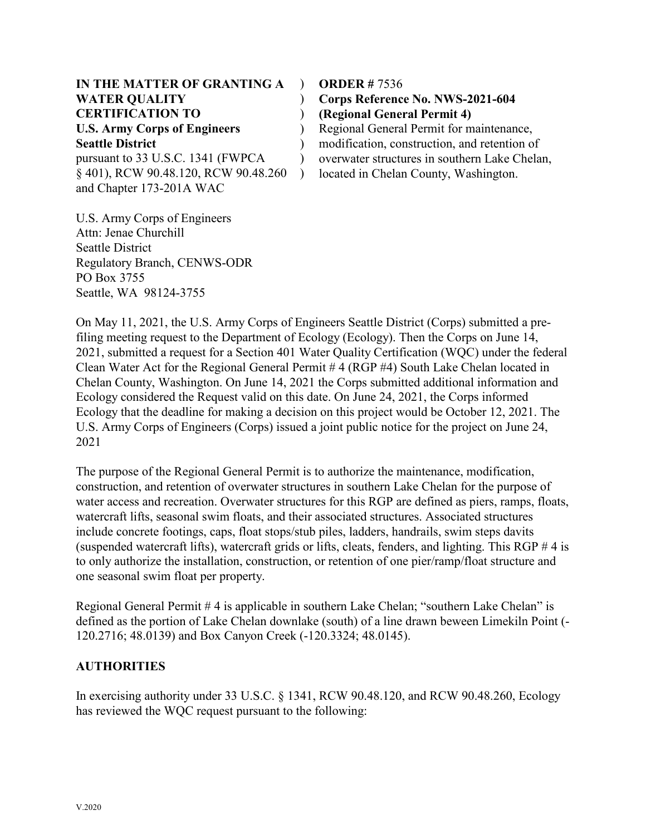| IN THE MATTER OF GRANTING A          |  |
|--------------------------------------|--|
| <b>WATER QUALITY</b>                 |  |
| <b>CERTIFICATION TO</b>              |  |
| <b>U.S. Army Corps of Engineers</b>  |  |
| <b>Seattle District</b>              |  |
| pursuant to 33 U.S.C. 1341 (FWPCA    |  |
| § 401), RCW 90.48.120, RCW 90.48.260 |  |
| and Chapter 173-201A WAC             |  |

**ORDER #** 7536

) **Corps Reference No. NWS-2021-604** ) **(Regional General Permit 4)** ) Regional General Permit for maintenance,

) modification, construction, and retention of overwater structures in southern Lake Chelan, located in Chelan County, Washington.

U.S. Army Corps of Engineers Attn: Jenae Churchill Seattle District Regulatory Branch, CENWS-ODR PO Box 3755 Seattle, WA 98124-3755

On May 11, 2021, the U.S. Army Corps of Engineers Seattle District (Corps) submitted a prefiling meeting request to the Department of Ecology (Ecology). Then the Corps on June 14, 2021, submitted a request for a Section 401 Water Quality Certification (WQC) under the federal Clean Water Act for the Regional General Permit # 4 (RGP #4) South Lake Chelan located in Chelan County, Washington. On June 14, 2021 the Corps submitted additional information and Ecology considered the Request valid on this date. On June 24, 2021, the Corps informed Ecology that the deadline for making a decision on this project would be October 12, 2021. The U.S. Army Corps of Engineers (Corps) issued a joint public notice for the project on June 24, 2021

The purpose of the Regional General Permit is to authorize the maintenance, modification, construction, and retention of overwater structures in southern Lake Chelan for the purpose of water access and recreation. Overwater structures for this RGP are defined as piers, ramps, floats, watercraft lifts, seasonal swim floats, and their associated structures. Associated structures include concrete footings, caps, float stops/stub piles, ladders, handrails, swim steps davits (suspended watercraft lifts), watercraft grids or lifts, cleats, fenders, and lighting. This RGP  $\#$  4 is to only authorize the installation, construction, or retention of one pier/ramp/float structure and one seasonal swim float per property.

Regional General Permit # 4 is applicable in southern Lake Chelan; "southern Lake Chelan" is defined as the portion of Lake Chelan downlake (south) of a line drawn beween Limekiln Point (- 120.2716; 48.0139) and Box Canyon Creek (-120.3324; 48.0145).

### **AUTHORITIES**

In exercising authority under 33 U.S.C. § 1341, RCW 90.48.120, and RCW 90.48.260, Ecology has reviewed the WQC request pursuant to the following: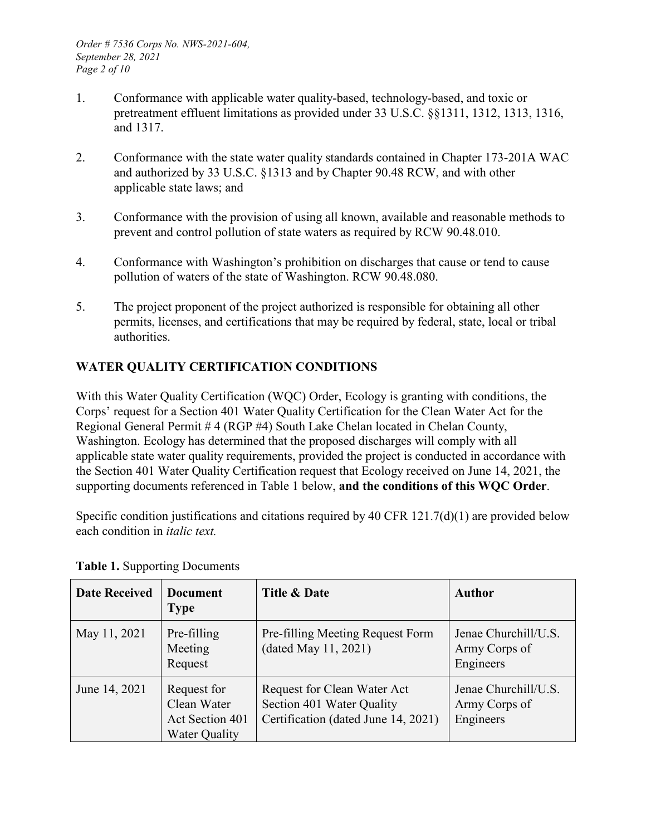- 1. Conformance with applicable water quality-based, technology-based, and toxic or pretreatment effluent limitations as provided under 33 U.S.C. §§1311, 1312, 1313, 1316, and 1317.
- 2. Conformance with the state water quality standards contained in Chapter 173-201A WAC and authorized by 33 U.S.C. §1313 and by Chapter 90.48 RCW, and with other applicable state laws; and
- 3. Conformance with the provision of using all known, available and reasonable methods to prevent and control pollution of state waters as required by RCW 90.48.010.
- 4. Conformance with Washington's prohibition on discharges that cause or tend to cause pollution of waters of the state of Washington. RCW 90.48.080.
- 5. The project proponent of the project authorized is responsible for obtaining all other permits, licenses, and certifications that may be required by federal, state, local or tribal authorities.

# **WATER QUALITY CERTIFICATION CONDITIONS**

With this Water Quality Certification (WQC) Order, Ecology is granting with conditions, the Corps' request for a Section 401 Water Quality Certification for the Clean Water Act for the Regional General Permit # 4 (RGP #4) South Lake Chelan located in Chelan County, Washington. Ecology has determined that the proposed discharges will comply with all applicable state water quality requirements, provided the project is conducted in accordance with the Section 401 Water Quality Certification request that Ecology received on June 14, 2021, the supporting documents referenced in Table 1 below, **and the conditions of this WQC Order**.

Specific condition justifications and citations required by 40 CFR 121.7(d)(1) are provided below each condition in *italic text.*

| <b>Date Received</b> | <b>Document</b><br><b>Type</b>                                        | Title & Date                                                                                    | Author                                             |
|----------------------|-----------------------------------------------------------------------|-------------------------------------------------------------------------------------------------|----------------------------------------------------|
| May 11, 2021         | Pre-filling<br>Meeting<br>Request                                     | Pre-filling Meeting Request Form<br>(dated May 11, 2021)                                        | Jenae Churchill/U.S.<br>Army Corps of<br>Engineers |
| June 14, 2021        | Request for<br>Clean Water<br>Act Section 401<br><b>Water Quality</b> | Request for Clean Water Act<br>Section 401 Water Quality<br>Certification (dated June 14, 2021) | Jenae Churchill/U.S.<br>Army Corps of<br>Engineers |

**Table 1.** Supporting Documents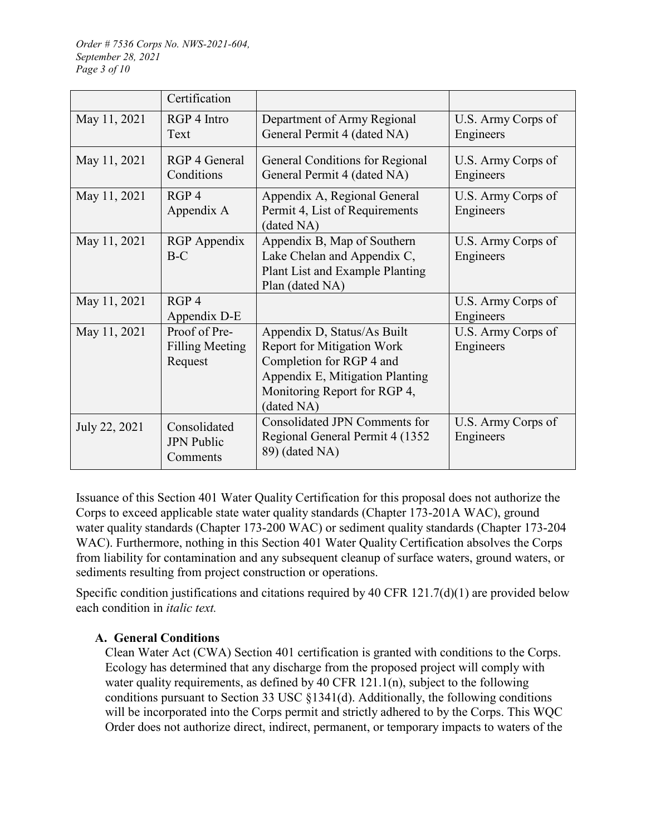|               | Certification                                      |                                                                                                                                                                               |                                 |
|---------------|----------------------------------------------------|-------------------------------------------------------------------------------------------------------------------------------------------------------------------------------|---------------------------------|
| May 11, 2021  | RGP 4 Intro<br>Text                                | Department of Army Regional<br>General Permit 4 (dated NA)                                                                                                                    | U.S. Army Corps of<br>Engineers |
| May 11, 2021  | RGP 4 General<br>Conditions                        | General Conditions for Regional<br>General Permit 4 (dated NA)                                                                                                                | U.S. Army Corps of<br>Engineers |
| May 11, 2021  | RGP <sub>4</sub><br>Appendix A                     | Appendix A, Regional General<br>Permit 4, List of Requirements<br>(dated NA)                                                                                                  | U.S. Army Corps of<br>Engineers |
| May 11, 2021  | RGP Appendix<br>$B-C$                              | Appendix B, Map of Southern<br>Lake Chelan and Appendix C,<br>Plant List and Example Planting<br>Plan (dated NA)                                                              | U.S. Army Corps of<br>Engineers |
| May 11, 2021  | RGP <sub>4</sub><br>Appendix D-E                   |                                                                                                                                                                               | U.S. Army Corps of<br>Engineers |
| May 11, 2021  | Proof of Pre-<br><b>Filling Meeting</b><br>Request | Appendix D, Status/As Built<br><b>Report for Mitigation Work</b><br>Completion for RGP 4 and<br>Appendix E, Mitigation Planting<br>Monitoring Report for RGP 4,<br>(dated NA) | U.S. Army Corps of<br>Engineers |
| July 22, 2021 | Consolidated<br><b>JPN Public</b><br>Comments      | <b>Consolidated JPN Comments for</b><br>Regional General Permit 4 (1352)<br>89) (dated NA)                                                                                    | U.S. Army Corps of<br>Engineers |

Issuance of this Section 401 Water Quality Certification for this proposal does not authorize the Corps to exceed applicable state water quality standards (Chapter 173-201A WAC), ground water quality standards (Chapter 173-200 WAC) or sediment quality standards (Chapter 173-204 WAC). Furthermore, nothing in this Section 401 Water Quality Certification absolves the Corps from liability for contamination and any subsequent cleanup of surface waters, ground waters, or sediments resulting from project construction or operations.

Specific condition justifications and citations required by 40 CFR 121.7(d)(1) are provided below each condition in *italic text.*

### **A. General Conditions**

Clean Water Act (CWA) Section 401 certification is granted with conditions to the Corps. Ecology has determined that any discharge from the proposed project will comply with water quality requirements, as defined by 40 CFR 121.1(n), subject to the following conditions pursuant to Section 33 USC §1341(d). Additionally, the following conditions will be incorporated into the Corps permit and strictly adhered to by the Corps. This WQC Order does not authorize direct, indirect, permanent, or temporary impacts to waters of the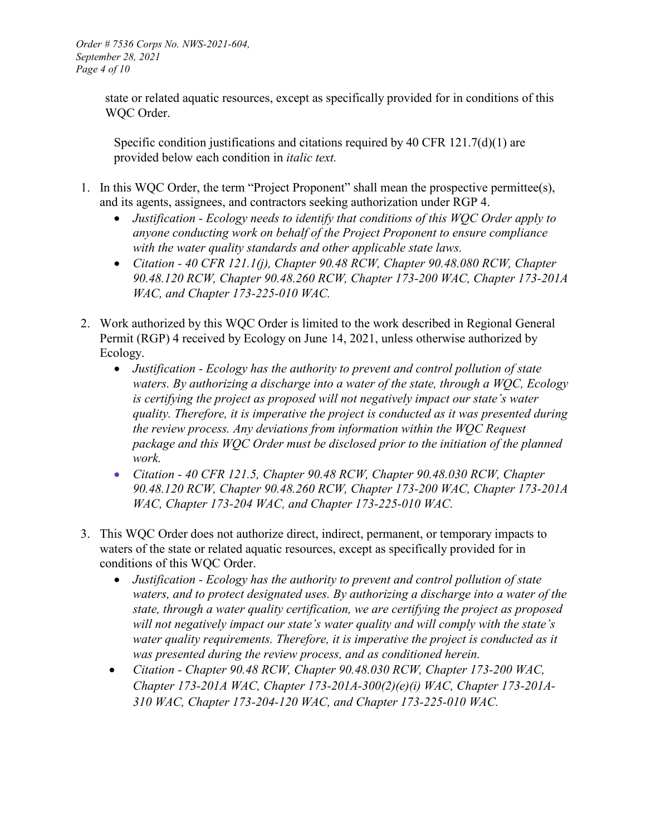state or related aquatic resources, except as specifically provided for in conditions of this WQC Order.

Specific condition justifications and citations required by 40 CFR 121.7(d)(1) are provided below each condition in *italic text.*

- 1. In this WQC Order, the term "Project Proponent" shall mean the prospective permittee(s), and its agents, assignees, and contractors seeking authorization under RGP 4.
	- *Justification - Ecology needs to identify that conditions of this WQC Order apply to anyone conducting work on behalf of the Project Proponent to ensure compliance with the water quality standards and other applicable state laws.*
	- *Citation - 40 CFR 121.1(j), Chapter 90.48 RCW, Chapter 90.48.080 RCW, Chapter 90.48.120 RCW, Chapter 90.48.260 RCW, Chapter 173-200 WAC, Chapter 173-201A WAC, and Chapter 173-225-010 WAC.*
- 2. Work authorized by this WQC Order is limited to the work described in Regional General Permit (RGP) 4 received by Ecology on June 14, 2021, unless otherwise authorized by Ecology.
	- *Justification - Ecology has the authority to prevent and control pollution of state waters. By authorizing a discharge into a water of the state, through a WQC, Ecology is certifying the project as proposed will not negatively impact our state's water quality. Therefore, it is imperative the project is conducted as it was presented during the review process. Any deviations from information within the WQC Request package and this WQC Order must be disclosed prior to the initiation of the planned work.*
	- *Citation - 40 CFR 121.5, Chapter 90.48 RCW, Chapter 90.48.030 RCW, Chapter 90.48.120 RCW, Chapter 90.48.260 RCW, Chapter 173-200 WAC, Chapter 173-201A WAC, Chapter 173-204 WAC, and Chapter 173-225-010 WAC.*
- 3. This WQC Order does not authorize direct, indirect, permanent, or temporary impacts to waters of the state or related aquatic resources, except as specifically provided for in conditions of this WQC Order.
	- *Justification - Ecology has the authority to prevent and control pollution of state waters, and to protect designated uses. By authorizing a discharge into a water of the state, through a water quality certification, we are certifying the project as proposed will not negatively impact our state's water quality and will comply with the state's water quality requirements. Therefore, it is imperative the project is conducted as it was presented during the review process, and as conditioned herein.*
	- *Citation - Chapter 90.48 RCW, Chapter 90.48.030 RCW, Chapter 173-200 WAC, Chapter 173-201A WAC, Chapter 173-201A-300(2)(e)(i) WAC, Chapter 173-201A-310 WAC, Chapter 173-204-120 WAC, and Chapter 173-225-010 WAC.*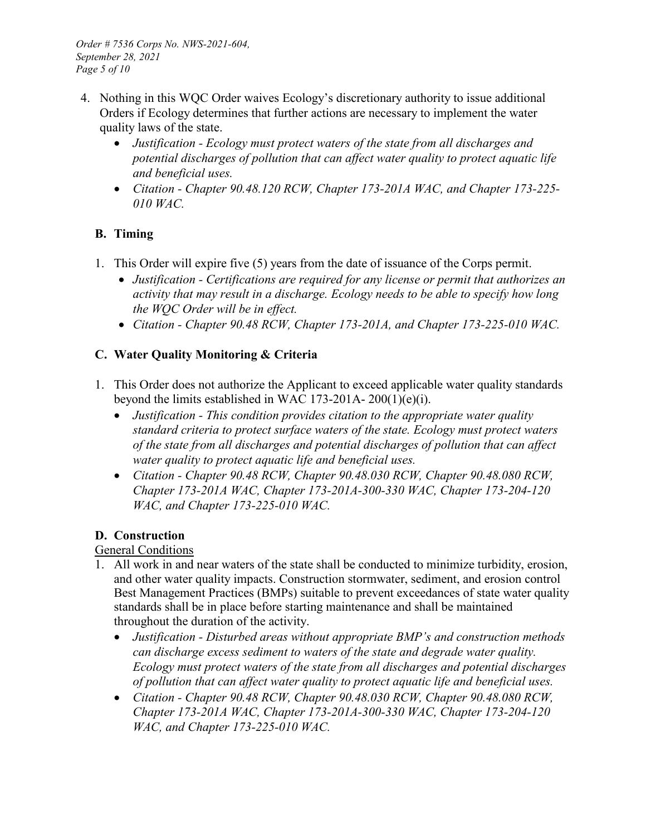- 4. Nothing in this WQC Order waives Ecology's discretionary authority to issue additional Orders if Ecology determines that further actions are necessary to implement the water quality laws of the state.
	- *Justification - Ecology must protect waters of the state from all discharges and potential discharges of pollution that can affect water quality to protect aquatic life and beneficial uses.*
	- *Citation - Chapter 90.48.120 RCW, Chapter 173-201A WAC, and Chapter 173-225- 010 WAC.*

# **B. Timing**

- 1. This Order will expire five (5) years from the date of issuance of the Corps permit.
	- *Justification - Certifications are required for any license or permit that authorizes an activity that may result in a discharge. Ecology needs to be able to specify how long the WQC Order will be in effect.*
	- *Citation - Chapter 90.48 RCW, Chapter 173-201A, and Chapter 173-225-010 WAC.*

## **C. Water Quality Monitoring & Criteria**

- 1. This Order does not authorize the Applicant to exceed applicable water quality standards beyond the limits established in WAC 173-201A- 200(1)(e)(i).
	- *Justification - This condition provides citation to the appropriate water quality standard criteria to protect surface waters of the state. Ecology must protect waters of the state from all discharges and potential discharges of pollution that can affect water quality to protect aquatic life and beneficial uses.*
	- *Citation - Chapter 90.48 RCW, Chapter 90.48.030 RCW, Chapter 90.48.080 RCW, Chapter 173-201A WAC, Chapter 173-201A-300-330 WAC, Chapter 173-204-120 WAC, and Chapter 173-225-010 WAC.*

# **D. Construction**

### General Conditions

- 1. All work in and near waters of the state shall be conducted to minimize turbidity, erosion, and other water quality impacts. Construction stormwater, sediment, and erosion control Best Management Practices (BMPs) suitable to prevent exceedances of state water quality standards shall be in place before starting maintenance and shall be maintained throughout the duration of the activity.
	- *Justification - Disturbed areas without appropriate BMP's and construction methods can discharge excess sediment to waters of the state and degrade water quality. Ecology must protect waters of the state from all discharges and potential discharges of pollution that can affect water quality to protect aquatic life and beneficial uses.*
	- *Citation - Chapter 90.48 RCW, Chapter 90.48.030 RCW, Chapter 90.48.080 RCW, Chapter 173-201A WAC, Chapter 173-201A-300-330 WAC, Chapter 173-204-120 WAC, and Chapter 173-225-010 WAC.*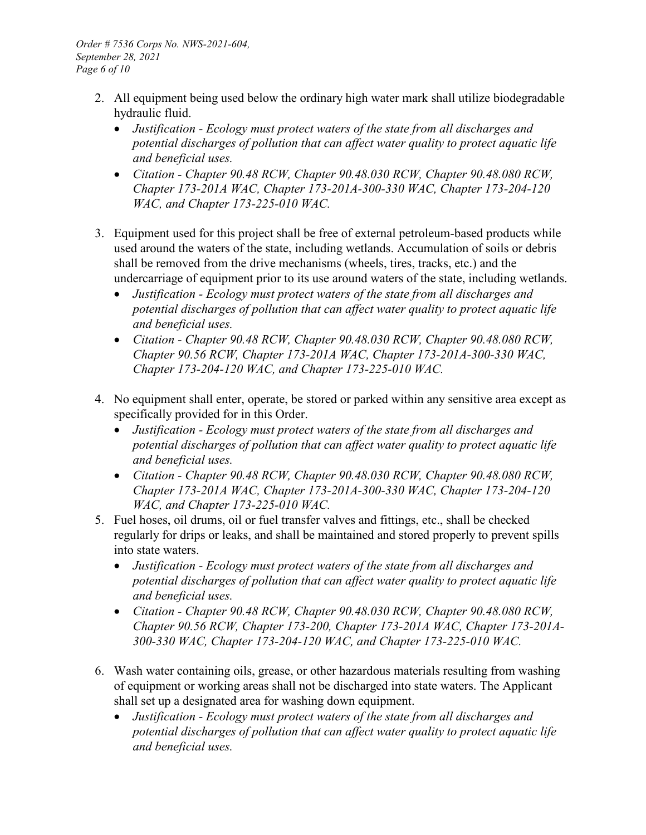- 2. All equipment being used below the ordinary high water mark shall utilize biodegradable hydraulic fluid.
	- *Justification - Ecology must protect waters of the state from all discharges and potential discharges of pollution that can affect water quality to protect aquatic life and beneficial uses.*
	- *Citation - Chapter 90.48 RCW, Chapter 90.48.030 RCW, Chapter 90.48.080 RCW, Chapter 173-201A WAC, Chapter 173-201A-300-330 WAC, Chapter 173-204-120 WAC, and Chapter 173-225-010 WAC.*
- 3. Equipment used for this project shall be free of external petroleum-based products while used around the waters of the state, including wetlands. Accumulation of soils or debris shall be removed from the drive mechanisms (wheels, tires, tracks, etc.) and the undercarriage of equipment prior to its use around waters of the state, including wetlands.
	- *Justification - Ecology must protect waters of the state from all discharges and potential discharges of pollution that can affect water quality to protect aquatic life and beneficial uses.*
	- *Citation - Chapter 90.48 RCW, Chapter 90.48.030 RCW, Chapter 90.48.080 RCW, Chapter 90.56 RCW, Chapter 173-201A WAC, Chapter 173-201A-300-330 WAC, Chapter 173-204-120 WAC, and Chapter 173-225-010 WAC.*
- 4. No equipment shall enter, operate, be stored or parked within any sensitive area except as specifically provided for in this Order.
	- *Justification - Ecology must protect waters of the state from all discharges and potential discharges of pollution that can affect water quality to protect aquatic life and beneficial uses.*
	- *Citation - Chapter 90.48 RCW, Chapter 90.48.030 RCW, Chapter 90.48.080 RCW, Chapter 173-201A WAC, Chapter 173-201A-300-330 WAC, Chapter 173-204-120 WAC, and Chapter 173-225-010 WAC.*
- 5. Fuel hoses, oil drums, oil or fuel transfer valves and fittings, etc., shall be checked regularly for drips or leaks, and shall be maintained and stored properly to prevent spills into state waters.
	- *Justification - Ecology must protect waters of the state from all discharges and potential discharges of pollution that can affect water quality to protect aquatic life and beneficial uses.*
	- *Citation - Chapter 90.48 RCW, Chapter 90.48.030 RCW, Chapter 90.48.080 RCW, Chapter 90.56 RCW, Chapter 173-200, Chapter 173-201A WAC, Chapter 173-201A-300-330 WAC, Chapter 173-204-120 WAC, and Chapter 173-225-010 WAC.*
- 6. Wash water containing oils, grease, or other hazardous materials resulting from washing of equipment or working areas shall not be discharged into state waters. The Applicant shall set up a designated area for washing down equipment.
	- *Justification - Ecology must protect waters of the state from all discharges and potential discharges of pollution that can affect water quality to protect aquatic life and beneficial uses.*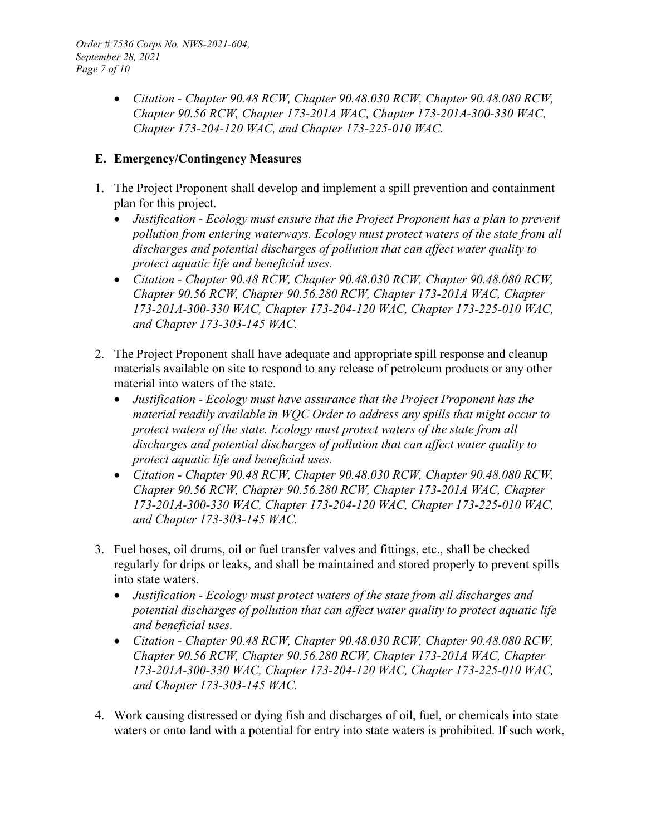• *Citation - Chapter 90.48 RCW, Chapter 90.48.030 RCW, Chapter 90.48.080 RCW, Chapter 90.56 RCW, Chapter 173-201A WAC, Chapter 173-201A-300-330 WAC, Chapter 173-204-120 WAC, and Chapter 173-225-010 WAC.*

#### **E. Emergency/Contingency Measures**

- 1. The Project Proponent shall develop and implement a spill prevention and containment plan for this project.
	- *Justification - Ecology must ensure that the Project Proponent has a plan to prevent pollution from entering waterways. Ecology must protect waters of the state from all discharges and potential discharges of pollution that can affect water quality to protect aquatic life and beneficial uses.*
	- *Citation - Chapter 90.48 RCW, Chapter 90.48.030 RCW, Chapter 90.48.080 RCW, Chapter 90.56 RCW, Chapter 90.56.280 RCW, Chapter 173-201A WAC, Chapter 173-201A-300-330 WAC, Chapter 173-204-120 WAC, Chapter 173-225-010 WAC, and Chapter 173-303-145 WAC.*
- 2. The Project Proponent shall have adequate and appropriate spill response and cleanup materials available on site to respond to any release of petroleum products or any other material into waters of the state.
	- *Justification - Ecology must have assurance that the Project Proponent has the material readily available in WQC Order to address any spills that might occur to protect waters of the state. Ecology must protect waters of the state from all discharges and potential discharges of pollution that can affect water quality to protect aquatic life and beneficial uses.*
	- *Citation - Chapter 90.48 RCW, Chapter 90.48.030 RCW, Chapter 90.48.080 RCW, Chapter 90.56 RCW, Chapter 90.56.280 RCW, Chapter 173-201A WAC, Chapter 173-201A-300-330 WAC, Chapter 173-204-120 WAC, Chapter 173-225-010 WAC, and Chapter 173-303-145 WAC.*
- 3. Fuel hoses, oil drums, oil or fuel transfer valves and fittings, etc., shall be checked regularly for drips or leaks, and shall be maintained and stored properly to prevent spills into state waters.
	- *Justification - Ecology must protect waters of the state from all discharges and potential discharges of pollution that can affect water quality to protect aquatic life and beneficial uses.*
	- *Citation - Chapter 90.48 RCW, Chapter 90.48.030 RCW, Chapter 90.48.080 RCW, Chapter 90.56 RCW, Chapter 90.56.280 RCW, Chapter 173-201A WAC, Chapter 173-201A-300-330 WAC, Chapter 173-204-120 WAC, Chapter 173-225-010 WAC, and Chapter 173-303-145 WAC.*
- 4. Work causing distressed or dying fish and discharges of oil, fuel, or chemicals into state waters or onto land with a potential for entry into state waters is prohibited. If such work,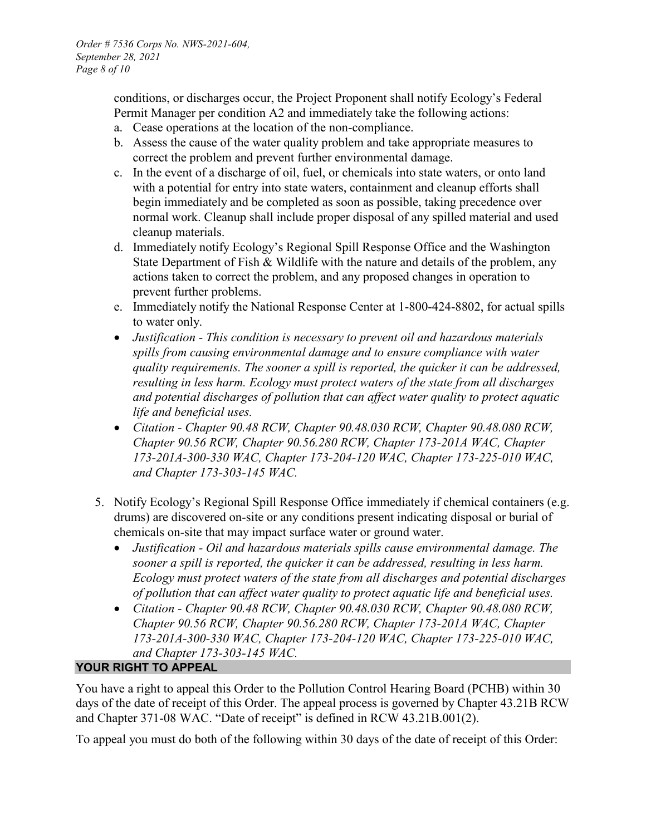conditions, or discharges occur, the Project Proponent shall notify Ecology's Federal Permit Manager per condition A2 and immediately take the following actions:

- a. Cease operations at the location of the non-compliance.
- b. Assess the cause of the water quality problem and take appropriate measures to correct the problem and prevent further environmental damage.
- c. In the event of a discharge of oil, fuel, or chemicals into state waters, or onto land with a potential for entry into state waters, containment and cleanup efforts shall begin immediately and be completed as soon as possible, taking precedence over normal work. Cleanup shall include proper disposal of any spilled material and used cleanup materials.
- d. Immediately notify Ecology's Regional Spill Response Office and the Washington State Department of Fish & Wildlife with the nature and details of the problem, any actions taken to correct the problem, and any proposed changes in operation to prevent further problems.
- e. Immediately notify the National Response Center at 1-800-424-8802, for actual spills to water only.
- *Justification - This condition is necessary to prevent oil and hazardous materials spills from causing environmental damage and to ensure compliance with water quality requirements. The sooner a spill is reported, the quicker it can be addressed, resulting in less harm. Ecology must protect waters of the state from all discharges and potential discharges of pollution that can affect water quality to protect aquatic life and beneficial uses.*
- *Citation - Chapter 90.48 RCW, Chapter 90.48.030 RCW, Chapter 90.48.080 RCW, Chapter 90.56 RCW, Chapter 90.56.280 RCW, Chapter 173-201A WAC, Chapter 173-201A-300-330 WAC, Chapter 173-204-120 WAC, Chapter 173-225-010 WAC, and Chapter 173-303-145 WAC.*
- 5. Notify Ecology's Regional Spill Response Office immediately if chemical containers (e.g. drums) are discovered on-site or any conditions present indicating disposal or burial of chemicals on-site that may impact surface water or ground water.
	- *Justification - Oil and hazardous materials spills cause environmental damage. The sooner a spill is reported, the quicker it can be addressed, resulting in less harm. Ecology must protect waters of the state from all discharges and potential discharges of pollution that can affect water quality to protect aquatic life and beneficial uses.*
	- *Citation - Chapter 90.48 RCW, Chapter 90.48.030 RCW, Chapter 90.48.080 RCW, Chapter 90.56 RCW, Chapter 90.56.280 RCW, Chapter 173-201A WAC, Chapter 173-201A-300-330 WAC, Chapter 173-204-120 WAC, Chapter 173-225-010 WAC, and Chapter 173-303-145 WAC.*

### **YOUR RIGHT TO APPEAL**

You have a right to appeal this Order to the Pollution Control Hearing Board (PCHB) within 30 days of the date of receipt of this Order. The appeal process is governed by Chapter 43.21B RCW and Chapter 371-08 WAC. "Date of receipt" is defined in RCW 43.21B.001(2).

To appeal you must do both of the following within 30 days of the date of receipt of this Order: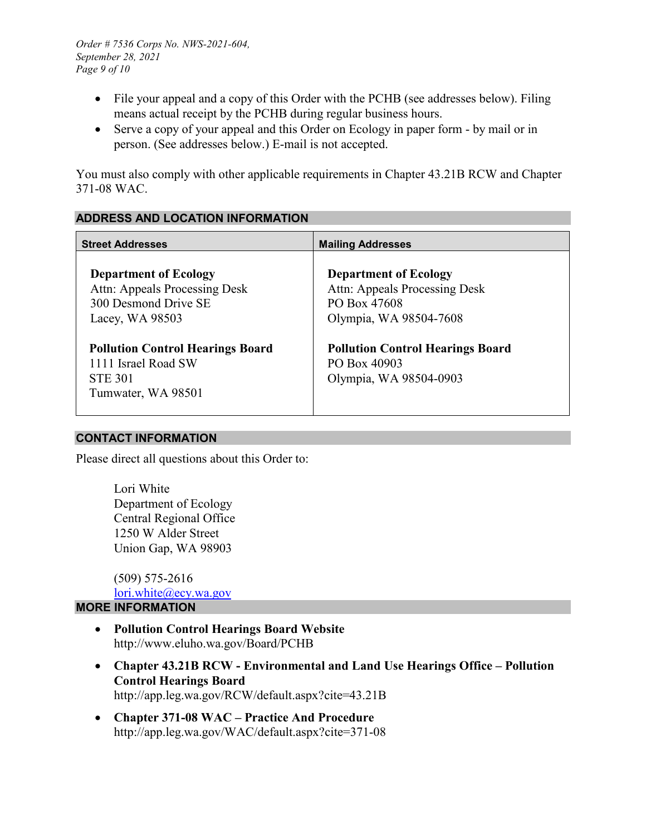- File your appeal and a copy of this Order with the PCHB (see addresses below). Filing means actual receipt by the PCHB during regular business hours.
- Serve a copy of your appeal and this Order on Ecology in paper form by mail or in person. (See addresses below.) E-mail is not accepted.

You must also comply with other applicable requirements in Chapter 43.21B RCW and Chapter 371-08 WAC.

#### **ADDRESS AND LOCATION INFORMATION**

| <b>Street Addresses</b>                                                                                    | <b>Mailing Addresses</b>                                                                                |
|------------------------------------------------------------------------------------------------------------|---------------------------------------------------------------------------------------------------------|
| <b>Department of Ecology</b><br>Attn: Appeals Processing Desk<br>300 Desmond Drive SE<br>Lacey, $WA$ 98503 | <b>Department of Ecology</b><br>Attn: Appeals Processing Desk<br>PO Box 47608<br>Olympia, WA 98504-7608 |
| <b>Pollution Control Hearings Board</b><br>1111 Israel Road SW<br><b>STE 301</b><br>Tumwater, WA 98501     | <b>Pollution Control Hearings Board</b><br>PO Box 40903<br>Olympia, WA 98504-0903                       |

#### **CONTACT INFORMATION**

Please direct all questions about this Order to:

Lori White Department of Ecology Central Regional Office 1250 W Alder Street Union Gap, WA 98903

(509) 575-2616 [lori.white@ecy.wa.gov](mailto:lori.white@ecy.wa.gov)

#### **MORE INFORMATION**

- **Pollution Control Hearings Board Website** http://www.eluho.wa.gov/Board/PCHB
- **Chapter 43.21B RCW - Environmental and Land Use Hearings Office – Pollution Control Hearings Board** http://app.leg.wa.gov/RCW/default.aspx?cite=43.21B
- **Chapter 371-08 WAC – Practice And Procedure** http://app.leg.wa.gov/WAC/default.aspx?cite=371-08